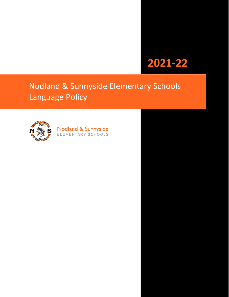# **2021-22**

# Nodland & Sunnyside Elementary Schools Language Policy



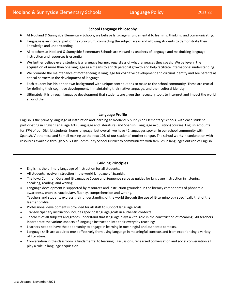## **School Language Philosophy**

- At Nodland & Sunnyside Elementary Schools, we believe language is fundamental to learning, thinking, and communicating.
- Language is an integral part of the curriculum, connecting the subject areas and allowing students to demonstrate their knowledge and understanding.
- All teachers at Nodland & Sunnyside Elementary Schools are viewed as teachers of language and maximizing language instruction and resources is essential.
- We further believe every student is a language learner, regardless of what languages they speak. We believe in the acquisition of more than one language as a means to enrich personal growth and help facilitate international understanding.
- We promote the maintenance of mother-tongue language for cognitive development and cultural identity and see parents as critical partners in the development of language.
- • Each student has his or her own background with unique contributions to make to the school community. These are crucial for defining their cognitive development, in maintaining their native language, and their cultural identity.
- Ultimately, it is through language development that students are given the necessary tools to interpret and impact the world around them.

### **Language Profile**

English is the primary language of instruction and learning at Nodland & Sunnyside Elementary Schools, with each student participating in English Language Arts (Language and Literature) and Spanish (Language Acquisition) courses. English accounts for 87% of our District students' home language, but overall, we have 42 languages spoken in our school community with Spanish, Vietnamese and Somali making up the next 10% of our students' mother tongue. The school works in conjunction with resources available through Sioux City Community School District to communicate with families in languages outside of English.

# **Guiding Principles**

- English is the primary language of instruction for all students.
- All students receive instruction in the world language of Spanish.
- The Iowa Common Core and IB Language Scope and Sequence serve as guides for language instruction in listening, speaking, reading, and writing.
- Language development is supported by resources and instruction grounded in the literacy components of phonemic awareness, phonics, vocabulary, fluency, comprehension and writing. Teachers and students express their understanding of the world through the use of IB terminology specifically that of the learner profile.
- Professional development is provided for all staff to support language goals.
- Transdisciplinary instruction includes specific language goals in authentic contexts.
- Teachers of all subjects and grades understand that language plays a vital role in the construction of meaning. All teachers incorporate the various aspects of language instruction into their everyday teachings.
- Learners need to have the opportunity to engage in learning in meaningful and authentic contexts.
- Language skills are acquired most effectively from using language in meaningful contexts and from experiencing a variety of literature.
- Conversation in the classroom is fundamental to learning. Discussions, rehearsed conversation and social conversation all play a role in language acquisition.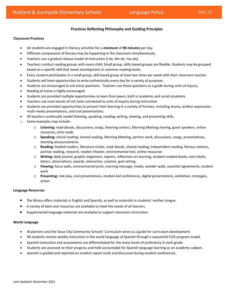# **Practices Reflecting Philosophy and Guiding Principles**

#### **Classroom Practices**

- All students are engaged in literacy activities for a *minimum* of **90 minutes** per day.
- Different components of literacy may be happening in the classroom simultaneously.
- Teachers use a gradual release model of instruction (I do, We do, You do).
- Teachers conduct reading groups with every child. Small group, skills-based groups are flexible. Students may be grouped based on a specific skill that needs development or common reading levels.
- Every student participates in a small group, skill-based group at least two times per week with their classroom teacher.
- Students will have opportunities to write authentically every day for a variety of purposes.
- Students are encouraged to ask many questions. Teachers use these questions as a guide during units of inquiry.
- Reading at home is highly encouraged.
- Students are provided multiple opportunities to learn from peers, both in academic and social situations.
- Teachers use read-alouds of rich texts connected to units of inquiry during instruction.
- Students are provided opportunities to present their learning in a variety of formats, including drama, written expression, multi-media presentations, and oral presentations.
- All teachers continually model listening, speaking, reading, writing, viewing, and presenting skills.
- o Some examples may include:
	- o **Listening:** read-alouds, discussions, songs, listening centers, Morning Meeting sharing, guest speakers, online resources, echo reads
	- o **Speaking:** choral reading, shared reading, Morning Meeting, partner work, discussions, songs, presentations, morning announcements
	- partner reading, research, readers theater, environmental text, online resources o **Reading:** leveled readers, literature circles, read-alouds, shared reading, independent reading, literacy stations,
	- o **Writing:** daily journal, graphic organizers, reports, reflections on learning, student-created books, exit tickets, letters, observations, awards, interactive, creative, goal setting
	- o **Viewing:** focus walls, environmental print, morning message, media, wonder walls, essential agreements, student work
	- action o **Presenting:** role play, oral presentations, student-led conferences, digital presentations, exhibition, strategies,

#### **Language Resources**

- The library offers materials in English and Spanish, as well as materials in students' mother tongue.
- A variety of texts and resources are available to meet the needs of all learners.
- Supplemental language materials are available to support classroom instruction.

#### **World Language**

- IB planners and the Sioux City Community Schools' Curriculum serve as a guide for curriculum development.
- All students receive weekly instruction in the world language of Spanish through a sequential FLES program model.
- Spanish instruction and assessments are differentiated for the many levels of proficiency in each grade.
- Students are assessed on their progress and held accountable for Spanish language learning as an academic subject.
- Spanish is graded and reported on student report cards and discussed during student conferences.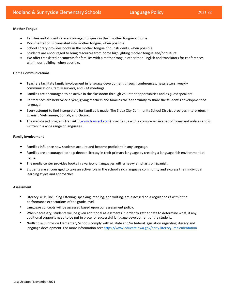#### **Mother Tongue**

- Families and students are encouraged to speak in their mother tongue at home.
- Documentation is translated into mother tongue, when possible.
- School library provides books in the mother tongue of our students, when possible.
- Students are encouraged to bring resources from home highlighting mother tongue and/or culture.
- We offer translated documents for families with a mother tongue other than English and translators for conferences within our building, when possible.

#### **Home Communications**

- Teachers facilitate family involvement in language development through conferences, newsletters, weekly communications, family surveys, and PTA meetings.
- Families are encouraged to be active in the classroom through volunteer opportunities and as guest speakers.
- Conferences are held twice a year, giving teachers and families the opportunity to share the student's development of language.
- Every attempt to find interpreters for families is made. The Sioux City Community School District provides interpreters in Spanish, Vietnamese, Somali, and Oromo.
- The web-based program TransACT (www.transact.co[m\) p](http://www.transact.com/)rovides us with a comprehensive set of forms and notices and is written in a wide range of languages.

#### **Family Involvement**

- Families influence how students acquire and become proficient in any language.
- Families are encouraged to help deepen literacy in their primary language by creating a language rich environment at home.
- The media center provides books in a variety of languages with a heavy emphasis on Spanish.
- Students are encouraged to take an active role in the school's rich language community and express their individual learning styles and approaches.

#### **Assessment**

- Literacy skills, including listening, speaking, reading, and writing, are assessed on a regular basis within the performance expectations of the grade level.
- Language concepts will be assessed based upon our assessment policy.
- When necessary, students will be given additional assessments in order to gather data to determine what, if any, additional supports need to be put in place for successful language development of the student.
- Nodland & Sunnyside Elementary Schools comply with all state and/or federal legislation regarding literacy and language development. For more information see: [https://www.educateiowa.gov/early-literacy-impleme](https://www.educateiowa.gov/early-literacy-implementation)ntation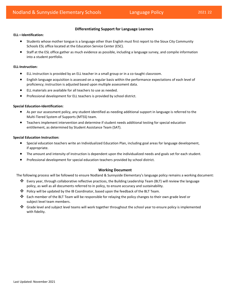# **Differentiating Support for Language Learners**

#### **ELL—Identification:**

- Students whose mother tongue is a language other than English must first report to the Sioux City Community Schools ESL office located at the Education Service Center (ESC).
- Staff at the ESL office gather as much evidence as possible, including a language survey, and compile information into a student portfolio.

#### **ELL-Instruction:**

- ELL instruction is provided by an ELL teacher in a small group or in a co-taught classroom.
- English language acquisition is assessed on a regular basis within the performance expectations of each level of proficiency; instruction is adjusted based upon multiple assessment data.
- ELL materials are available for all teachers to use as needed.
- Professional development for ELL teachers is provided by school district.

#### **Special Education-Identification:**

- As per our assessment policy, any student identified as needing additional support in language is referred to the Multi-Tiered System of Supports (MTSS) team.
- Teachers implement intervention and determine if student needs additional testing for special education entitlement, as determined by Student Assistance Team (SAT).

#### **Special Education Instruction:**

- Special education teachers write an Individualized Education Plan, including goal areas for language development, if appropriate.
- The amount and intensity of instruction is dependent upon the individualized needs and goals set for each student.
- Professional development for special education teachers provided by school district.

#### **Working Document**

The following process will be followed to ensure Nodland & Sunnyside Elementary's language policy remains a working document:

- ❖ Every year, through collaborative reflective practices, the Building Leadership Team (BLT) will review the language policy, as well as all documents referred to in policy, to ensure accuracy and sustainability.
- ❖ Policy will be updated by the IB Coordinator, based upon the feedback of the BLT Team.
- ❖ Each member of the BLT Team will be responsible for relaying the policy changes to their own grade level or subject level team members.
- ❖ Grade level and subject level teams will work together throughout the school year to ensure policy is implemented with fidelity.